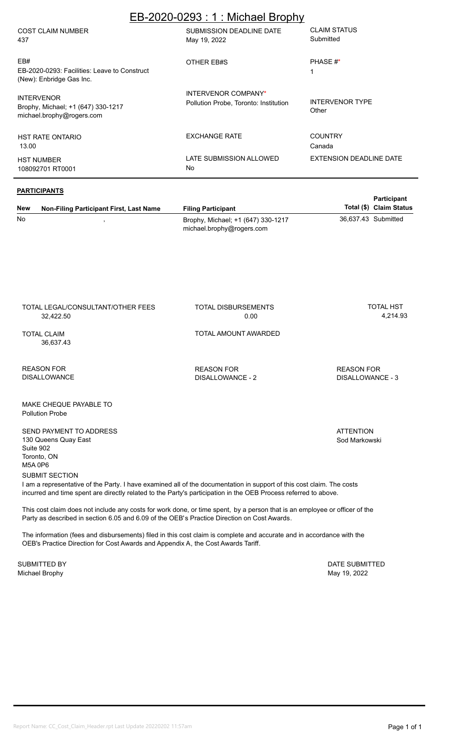| EB-2020-0293: 1: Michael Brophy                                                      |                                                              |                                  |  |  |  |  |  |  |  |  |
|--------------------------------------------------------------------------------------|--------------------------------------------------------------|----------------------------------|--|--|--|--|--|--|--|--|
| <b>COST CLAIM NUMBER</b><br>437                                                      | SUBMISSION DEADLINE DATE<br>May 19, 2022                     | <b>CLAIM STATUS</b><br>Submitted |  |  |  |  |  |  |  |  |
| EB#<br>EB-2020-0293: Facilities: Leave to Construct<br>(New): Enbridge Gas Inc.      | OTHER EB#S                                                   | PHASE #*<br>1                    |  |  |  |  |  |  |  |  |
| <b>INTERVENOR</b><br>Brophy, Michael; +1 (647) 330-1217<br>michael.brophy@rogers.com | INTERVENOR COMPANY*<br>Pollution Probe, Toronto: Institution | <b>INTERVENOR TYPE</b><br>Other  |  |  |  |  |  |  |  |  |
| <b>HST RATE ONTARIO</b><br>13.00                                                     | <b>EXCHANGE RATE</b>                                         | <b>COUNTRY</b><br>Canada         |  |  |  |  |  |  |  |  |
| <b>HST NUMBER</b><br>108092701 RT0001                                                | LATE SUBMISSION ALLOWED<br><b>No</b>                         | EXTENSION DEADLINE DATE          |  |  |  |  |  |  |  |  |

#### **PARTICIPANTS**

TOTAL LEGAL/CONSULTANT/OTHER FEES

| <b>New</b> | Non-Filing Participant First, Last Name | <b>Filing Participant</b>                                       | Total (\$) Claim Status | <b>Failicipalit</b> |
|------------|-----------------------------------------|-----------------------------------------------------------------|-------------------------|---------------------|
| No         |                                         | Brophy, Michael; +1 (647) 330-1217<br>michael.brophy@rogers.com | 36,637.43 Submitted     |                     |

TOTAL DISBURSEMENTS

 32,422.50 0.00 4,214.93 TOTAL CLAIM 36,637.43 TOTAL AMOUNT AWARDED REASON FOR DISALLOWANCE MAKE CHEQUE PAYABLE TO SEND PAYMENT TO ADDRESS 130 Queens Quay East **ATTENTION** Sod Markowski REASON FOR DISALLOWANCE - 2 REASON FOR DISALLOWANCE - 3 Pollution Probe

SUBMIT SECTION I am a representative of the Party. I have examined all of the documentation in support of this cost claim. The costs incurred and time spent are directly related to the Party's participation in the OEB Process referred to above.

This cost claim does not include any costs for work done, or time spent, by a person that is an employee or officer of the Party as described in section 6.05 and 6.09 of the OEB's Practice Direction on Cost Awards.

The information (fees and disbursements) filed in this cost claim is complete and accurate and in accordance with the OEB's Practice Direction for Cost Awards and Appendix A, the Cost Awards Tariff.

Michael Brophy May 19, 2022 SUBMITTED BY **DATE SUBMITTED** 

Suite 902 Toronto, ON M5A 0P6

**Participant** 

TOTAL HST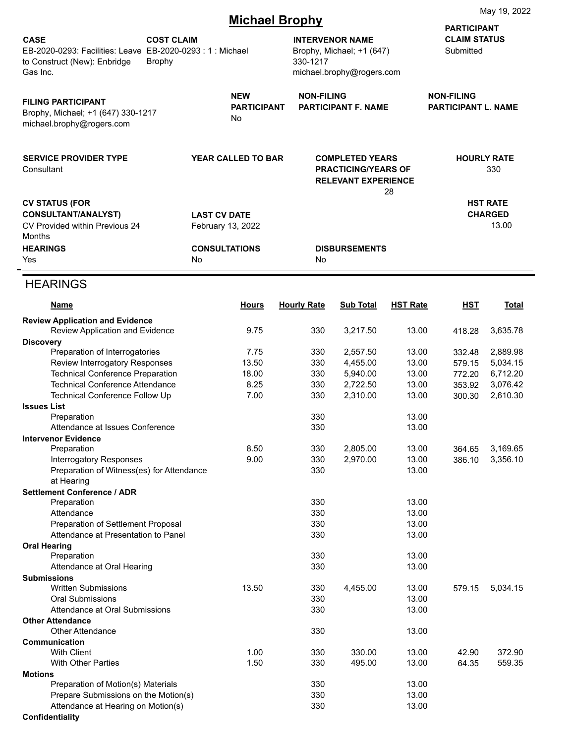|                                                                                                                     |                                    | iviay 19, ZUZZ                           |                                                                                                                       |                                                                                    |                                                        |                           |                                            |  |  |  |  |
|---------------------------------------------------------------------------------------------------------------------|------------------------------------|------------------------------------------|-----------------------------------------------------------------------------------------------------------------------|------------------------------------------------------------------------------------|--------------------------------------------------------|---------------------------|--------------------------------------------|--|--|--|--|
| <b>CASE</b><br>EB-2020-0293: Facilities: Leave EB-2020-0293: 1: Michael<br>to Construct (New): Enbridge<br>Gas Inc. | <b>COST CLAIM</b><br><b>Brophy</b> |                                          | <b>Michael Brophy</b><br><b>INTERVENOR NAME</b><br>Brophy, Michael; +1 (647)<br>330-1217<br>michael.brophy@rogers.com |                                                                                    | <b>PARTICIPANT</b><br><b>CLAIM STATUS</b><br>Submitted |                           |                                            |  |  |  |  |
| <b>FILING PARTICIPANT</b><br>Brophy, Michael; +1 (647) 330-1217<br>michael.brophy@rogers.com                        |                                    | <b>NEW</b><br><b>PARTICIPANT</b><br>No   | <b>NON-FILING</b><br><b>PARTICIPANT F. NAME</b>                                                                       |                                                                                    | <b>NON-FILING</b><br><b>PARTICIPANT L. NAME</b>        |                           |                                            |  |  |  |  |
| <b>SERVICE PROVIDER TYPE</b><br>Consultant                                                                          |                                    | YEAR CALLED TO BAR                       |                                                                                                                       | <b>COMPLETED YEARS</b><br><b>PRACTICING/YEARS OF</b><br><b>RELEVANT EXPERIENCE</b> | 28                                                     | <b>HOURLY RATE</b><br>330 |                                            |  |  |  |  |
| <b>CV STATUS (FOR</b><br><b>CONSULTANT/ANALYST)</b><br>CV Provided within Previous 24<br>Months                     |                                    | <b>LAST CV DATE</b><br>February 13, 2022 |                                                                                                                       |                                                                                    |                                                        |                           | <b>HST RATE</b><br><b>CHARGED</b><br>13.00 |  |  |  |  |
| <b>HEARINGS</b><br>Yes                                                                                              |                                    | <b>CONSULTATIONS</b><br><b>No</b>        | No                                                                                                                    | <b>DISBURSEMENTS</b>                                                               |                                                        |                           |                                            |  |  |  |  |
| <b>HEARINGS</b>                                                                                                     |                                    |                                          |                                                                                                                       |                                                                                    |                                                        |                           |                                            |  |  |  |  |
| <b>Name</b>                                                                                                         |                                    | <b>Hours</b>                             | <b>Hourly Rate</b>                                                                                                    | Sub Total                                                                          | <b>HST Rate</b>                                        | <b>HST</b>                | <b>Total</b>                               |  |  |  |  |
| <b>Review Application and Evidence</b><br>Review Application and Evidence                                           |                                    | 9.75                                     | 330                                                                                                                   | 3,217.50                                                                           | 13.00                                                  | 418.28                    | 3,635.78                                   |  |  |  |  |
| <b>Discovery</b>                                                                                                    |                                    |                                          |                                                                                                                       |                                                                                    |                                                        |                           |                                            |  |  |  |  |
| Preparation of Interrogatories                                                                                      |                                    | 7.75                                     | 330                                                                                                                   | 2,557.50                                                                           | 13.00                                                  | 332.48                    | 2,889.98                                   |  |  |  |  |
| Review Interrogatory Responses                                                                                      |                                    | 13.50                                    | 330                                                                                                                   | 4,455.00                                                                           | 13.00                                                  | 579.15                    | 5,034.15                                   |  |  |  |  |
| <b>Technical Conference Preparation</b>                                                                             |                                    | 18.00                                    | 330                                                                                                                   | 5,940.00                                                                           | 13.00                                                  | 772.20                    | 6,712.20                                   |  |  |  |  |
| <b>Technical Conference Attendance</b>                                                                              |                                    | 8.25                                     | 330                                                                                                                   | 2,722.50                                                                           | 13.00                                                  | 353.92                    | 3,076.42                                   |  |  |  |  |
| Technical Conference Follow Up                                                                                      |                                    | 7.00                                     | 330                                                                                                                   | 2,310.00                                                                           | 13.00                                                  | 300.30                    | 2,610.30                                   |  |  |  |  |
| <b>Issues List</b>                                                                                                  |                                    |                                          |                                                                                                                       |                                                                                    |                                                        |                           |                                            |  |  |  |  |
| Preparation                                                                                                         |                                    |                                          | 330                                                                                                                   |                                                                                    | 13.00                                                  |                           |                                            |  |  |  |  |
| Attendance at Issues Conference                                                                                     |                                    |                                          | 330                                                                                                                   |                                                                                    | 13.00                                                  |                           |                                            |  |  |  |  |
| <b>Intervenor Evidence</b>                                                                                          |                                    |                                          |                                                                                                                       |                                                                                    |                                                        |                           |                                            |  |  |  |  |
| Preparation                                                                                                         |                                    | 8.50                                     | 330                                                                                                                   | 2,805.00                                                                           | 13.00                                                  | 364.65                    | 3,169.65                                   |  |  |  |  |
| <b>Interrogatory Responses</b>                                                                                      |                                    | 9.00                                     | 330                                                                                                                   | 2,970.00                                                                           | 13.00                                                  | 386.10                    | 3,356.10                                   |  |  |  |  |
| Preparation of Witness(es) for Attendance                                                                           |                                    |                                          | 330                                                                                                                   |                                                                                    | 13.00                                                  |                           |                                            |  |  |  |  |
| at Hearing                                                                                                          |                                    |                                          |                                                                                                                       |                                                                                    |                                                        |                           |                                            |  |  |  |  |
| <b>Settlement Conference / ADR</b>                                                                                  |                                    |                                          | 330                                                                                                                   |                                                                                    | 13.00                                                  |                           |                                            |  |  |  |  |
| Preparation<br>Attendance                                                                                           |                                    |                                          | 330                                                                                                                   |                                                                                    | 13.00                                                  |                           |                                            |  |  |  |  |
| Preparation of Settlement Proposal                                                                                  |                                    |                                          | 330                                                                                                                   |                                                                                    | 13.00                                                  |                           |                                            |  |  |  |  |
| Attendance at Presentation to Panel                                                                                 |                                    |                                          | 330                                                                                                                   |                                                                                    | 13.00                                                  |                           |                                            |  |  |  |  |
| <b>Oral Hearing</b>                                                                                                 |                                    |                                          |                                                                                                                       |                                                                                    |                                                        |                           |                                            |  |  |  |  |
| Preparation                                                                                                         |                                    |                                          | 330                                                                                                                   |                                                                                    | 13.00                                                  |                           |                                            |  |  |  |  |
| Attendance at Oral Hearing                                                                                          |                                    |                                          | 330                                                                                                                   |                                                                                    | 13.00                                                  |                           |                                            |  |  |  |  |
| <b>Submissions</b>                                                                                                  |                                    |                                          |                                                                                                                       |                                                                                    |                                                        |                           |                                            |  |  |  |  |
| <b>Written Submissions</b>                                                                                          |                                    | 13.50                                    | 330                                                                                                                   | 4,455.00                                                                           | 13.00                                                  | 579.15                    | 5,034.15                                   |  |  |  |  |
| <b>Oral Submissions</b>                                                                                             |                                    |                                          | 330                                                                                                                   |                                                                                    | 13.00                                                  |                           |                                            |  |  |  |  |
| Attendance at Oral Submissions                                                                                      |                                    |                                          | 330                                                                                                                   |                                                                                    | 13.00                                                  |                           |                                            |  |  |  |  |
| <b>Other Attendance</b>                                                                                             |                                    |                                          |                                                                                                                       |                                                                                    |                                                        |                           |                                            |  |  |  |  |
| <b>Other Attendance</b>                                                                                             |                                    |                                          | 330                                                                                                                   |                                                                                    | 13.00                                                  |                           |                                            |  |  |  |  |
| Communication                                                                                                       |                                    |                                          |                                                                                                                       |                                                                                    |                                                        |                           | 372.90                                     |  |  |  |  |
| <b>With Client</b>                                                                                                  |                                    | 1.00                                     | 330                                                                                                                   | 330.00                                                                             | 13.00                                                  | 42.90                     |                                            |  |  |  |  |
| <b>With Other Parties</b>                                                                                           |                                    | 1.50                                     | 330                                                                                                                   | 495.00                                                                             | 13.00                                                  | 64.35                     | 559.35                                     |  |  |  |  |
| <b>Motions</b><br>Preparation of Motion(s) Materials                                                                |                                    |                                          | 330                                                                                                                   |                                                                                    | 13.00                                                  |                           |                                            |  |  |  |  |
| Prepare Submissions on the Motion(s)                                                                                |                                    |                                          | 330                                                                                                                   |                                                                                    | 13.00                                                  |                           |                                            |  |  |  |  |
| Attendance at Hearing on Motion(s)                                                                                  |                                    |                                          | 330                                                                                                                   |                                                                                    | 13.00                                                  |                           |                                            |  |  |  |  |
| Confidentiality                                                                                                     |                                    |                                          |                                                                                                                       |                                                                                    |                                                        |                           |                                            |  |  |  |  |

May 19, 2022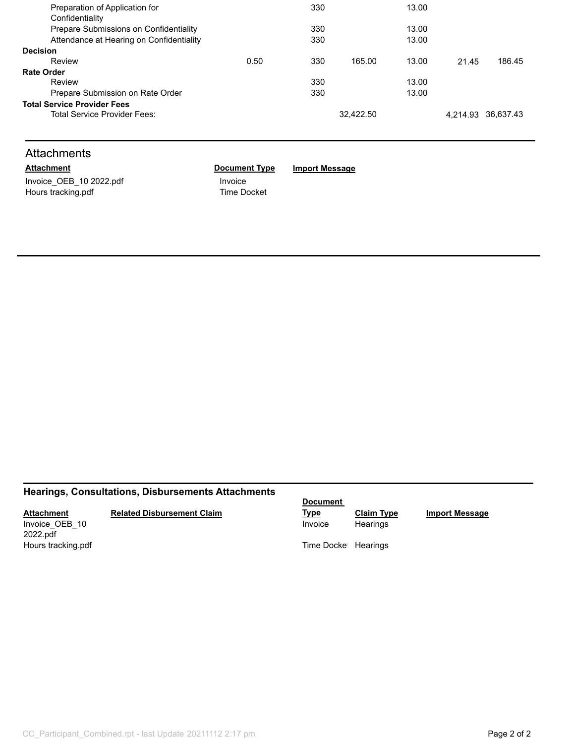| Preparation of Application for           |      | 330 |           | 13.00 |       |                    |
|------------------------------------------|------|-----|-----------|-------|-------|--------------------|
| Confidentiality                          |      |     |           |       |       |                    |
| Prepare Submissions on Confidentiality   |      | 330 |           | 13.00 |       |                    |
| Attendance at Hearing on Confidentiality |      | 330 |           | 13.00 |       |                    |
| <b>Decision</b>                          |      |     |           |       |       |                    |
| Review                                   | 0.50 | 330 | 165.00    | 13.00 | 21.45 | 186.45             |
| <b>Rate Order</b>                        |      |     |           |       |       |                    |
| Review                                   |      | 330 |           | 13.00 |       |                    |
| Prepare Submission on Rate Order         |      | 330 |           | 13.00 |       |                    |
| <b>Total Service Provider Fees</b>       |      |     |           |       |       |                    |
| Total Service Provider Fees:             |      |     | 32.422.50 |       |       | 4,214.93 36,637.43 |
|                                          |      |     |           |       |       |                    |

# **Attachments**

Invoice\_OEB\_10 2022.pdf Invoice Hours tracking.pdf Time Docket

**Attachment Document Type Import Message**

# **Hearings, Consultations, Disbursements Attachments**

## **Attachment**

#### **Related Disbursement Claim**

Invoice\_OEB\_10 2022.pdf<br>Hours tracking.pdf **Document** 

Invoice Hearings

**Type Claim Type Import Message**

Time Docket Hearings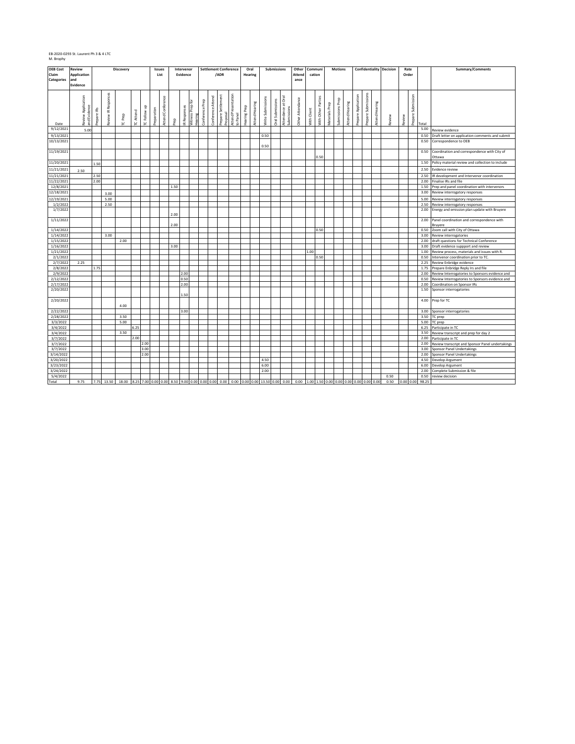| <b>OEB Cost</b>            | <b>Review</b>             |              |                     | Discovery |           |           |             | Issues            |      | Intervenor   |                             |                 |                   | <b>Settlement Conference</b> |                     | Oral         |                |                   | Submissions      |                    | Other                 |             | Communi            |                | <b>Motions</b>   |                |                     |                     |                | <b>Confidentiality Decision</b> | Rate      |                    |              | Summary/Comments                                                   |
|----------------------------|---------------------------|--------------|---------------------|-----------|-----------|-----------|-------------|-------------------|------|--------------|-----------------------------|-----------------|-------------------|------------------------------|---------------------|--------------|----------------|-------------------|------------------|--------------------|-----------------------|-------------|--------------------|----------------|------------------|----------------|---------------------|---------------------|----------------|---------------------------------|-----------|--------------------|--------------|--------------------------------------------------------------------|
| Claim<br><b>Categories</b> | <b>Application</b><br>and |              |                     |           |           |           |             | List              |      | Evidence     |                             |                 |                   | /ADR                         |                     |              | Hearing        |                   |                  |                    | <b>Attend</b><br>ance |             | cation             |                |                  |                |                     |                     |                |                                 | Order     |                    |              |                                                                    |
|                            | Evidence                  |              |                     |           |           |           |             |                   |      |              |                             |                 |                   |                              |                     |              |                |                   |                  |                    |                       |             |                    |                |                  |                |                     |                     |                |                                 |           |                    |              |                                                                    |
|                            |                           |              |                     |           |           |           |             |                   |      |              |                             |                 |                   |                              |                     |              |                |                   |                  |                    |                       |             |                    |                |                  |                |                     |                     |                |                                 |           |                    |              |                                                                    |
|                            |                           |              | Review IR Responses |           |           |           |             |                   |      |              |                             |                 |                   |                              |                     |              |                |                   |                  |                    |                       |             |                    |                |                  |                |                     | Prepare Submissions |                |                                 |           |                    |              |                                                                    |
|                            | Application               |              |                     |           |           |           |             | Attend Conference |      |              |                             | Conference Prep | Conference Attend | Prepare Settlement           | Attend Presentation |              |                | Write Submissions | Oral Submissions | Attendance at Oral | Other Attendance      |             | With Other Parties |                | Submissions Prep |                | Prepare Application |                     |                |                                 |           | Prepare Submission |              |                                                                    |
|                            |                           |              |                     |           |           | g         |             |                   |      |              |                             |                 |                   |                              |                     |              |                |                   |                  |                    |                       |             |                    |                |                  |                |                     |                     |                |                                 |           |                    |              |                                                                    |
|                            |                           |              |                     |           |           |           |             |                   |      |              |                             |                 |                   |                              |                     |              |                |                   |                  |                    |                       |             |                    |                |                  |                |                     |                     |                |                                 |           |                    |              |                                                                    |
|                            | and Evidence<br>Review    | Prepare IRs  |                     | TC Prep   | TC Attend | TC Follow | Preparation |                   | Prep | IR Responses | Mitness Prep for<br>Hearing |                 |                   | Proposal                     | Panel               | Hearing Prep | Attend Hearing |                   |                  | Submissions        |                       | With Client |                    | Materials Prep |                  | Attend Hearing |                     |                     | Attend Hearing | Review                          | Review    |                    |              |                                                                    |
| Date                       |                           |              |                     |           |           |           |             |                   |      |              |                             |                 |                   |                              | $\mathbf{e}$        |              |                |                   |                  |                    |                       |             |                    |                |                  |                |                     |                     |                |                                 |           |                    | Total        |                                                                    |
| 9/12/2021                  | 5.00                      |              |                     |           |           |           |             |                   |      |              |                             |                 |                   |                              |                     |              |                |                   |                  |                    |                       |             |                    |                |                  |                |                     |                     |                |                                 |           |                    | 5.00         | Review evidence                                                    |
| 9/13/2021                  |                           |              |                     |           |           |           |             |                   |      |              |                             |                 |                   |                              |                     |              |                | 0.50              |                  |                    |                       |             |                    |                |                  |                |                     |                     |                |                                 |           |                    | 0.50         | Draft letter on application comments and submit                    |
| 10/13/2021                 |                           |              |                     |           |           |           |             |                   |      |              |                             |                 |                   |                              |                     |              |                |                   |                  |                    |                       |             |                    |                |                  |                |                     |                     |                |                                 |           |                    | 0.50         | Correspondence to OEB                                              |
| 11/19/2021                 |                           |              |                     |           |           |           |             |                   |      |              |                             |                 |                   |                              |                     |              |                | 0.50              |                  |                    |                       |             |                    |                |                  |                |                     |                     |                |                                 |           |                    | 0.50         | Coordination and correspondence with City of                       |
|                            |                           |              |                     |           |           |           |             |                   |      |              |                             |                 |                   |                              |                     |              |                |                   |                  |                    |                       |             | 0.50               |                |                  |                |                     |                     |                |                                 |           |                    |              | Ottawa                                                             |
| 11/20/2021                 |                           | 1.50         |                     |           |           |           |             |                   |      |              |                             |                 |                   |                              |                     |              |                |                   |                  |                    |                       |             |                    |                |                  |                |                     |                     |                |                                 |           |                    | 1.50         | Policy material review and collection to include                   |
| 11/21/2021                 |                           |              |                     |           |           |           |             |                   |      |              |                             |                 |                   |                              |                     |              |                |                   |                  |                    |                       |             |                    |                |                  |                |                     |                     |                |                                 |           |                    | 2.50         | Evidence review                                                    |
|                            | 2.50                      |              |                     |           |           |           |             |                   |      |              |                             |                 |                   |                              |                     |              |                |                   |                  |                    |                       |             |                    |                |                  |                |                     |                     |                |                                 |           |                    |              |                                                                    |
| 11/21/2021<br>11/22/2021   |                           | 2.50<br>2.00 |                     |           |           |           |             |                   |      |              |                             |                 |                   |                              |                     |              |                |                   |                  |                    |                       |             |                    |                |                  |                |                     |                     |                |                                 |           |                    | 2.50<br>2.00 | R development and Intervenor coordination<br>Finalise IRs and file |
| 12/8/2021                  |                           |              |                     |           |           |           |             |                   | 1.50 |              |                             |                 |                   |                              |                     |              |                |                   |                  |                    |                       |             |                    |                |                  |                |                     |                     |                |                                 |           |                    | 1.50         | Prep and panel coordination with intervenors                       |
| 12/18/2021                 |                           |              |                     |           |           |           |             |                   |      |              |                             |                 |                   |                              |                     |              |                |                   |                  |                    |                       |             |                    |                |                  |                |                     |                     |                |                                 |           |                    | 3.00         | Review interrogatory responses                                     |
|                            |                           |              | 3.00                |           |           |           |             |                   |      |              |                             |                 |                   |                              |                     |              |                |                   |                  |                    |                       |             |                    |                |                  |                |                     |                     |                |                                 |           |                    |              |                                                                    |
| 12/19/2021<br>1/2/2022     |                           |              | 5.00<br>2.50        |           |           |           |             |                   |      |              |                             |                 |                   |                              |                     |              |                |                   |                  |                    |                       |             |                    |                |                  |                |                     |                     |                |                                 |           |                    | 5.00<br>2.50 | Review interrogatory responses<br>Review interrogatory responses   |
| 1/7/2022                   |                           |              |                     |           |           |           |             |                   |      |              |                             |                 |                   |                              |                     |              |                |                   |                  |                    |                       |             |                    |                |                  |                |                     |                     |                |                                 |           |                    | 2.00         | Energy and emission plan update with Bruyere                       |
|                            |                           |              |                     |           |           |           |             |                   | 2.00 |              |                             |                 |                   |                              |                     |              |                |                   |                  |                    |                       |             |                    |                |                  |                |                     |                     |                |                                 |           |                    |              |                                                                    |
| 1/11/2022                  |                           |              |                     |           |           |           |             |                   |      |              |                             |                 |                   |                              |                     |              |                |                   |                  |                    |                       |             |                    |                |                  |                |                     |                     |                |                                 |           |                    | 2.00         | Panel coordination and correspondence with                         |
|                            |                           |              |                     |           |           |           |             |                   | 2.00 |              |                             |                 |                   |                              |                     |              |                |                   |                  |                    |                       |             |                    |                |                  |                |                     |                     |                |                                 |           |                    |              | Bruyere                                                            |
| 1/14/2022                  |                           |              |                     |           |           |           |             |                   |      |              |                             |                 |                   |                              |                     |              |                |                   |                  |                    |                       |             | 0.50               |                |                  |                |                     |                     |                |                                 |           |                    | 0.50         | Zoom call with City of Ottawa                                      |
| 1/14/2022                  |                           |              | 3.00                |           |           |           |             |                   |      |              |                             |                 |                   |                              |                     |              |                |                   |                  |                    |                       |             |                    |                |                  |                |                     |                     |                |                                 |           |                    | 3.00         | Review interrogatories                                             |
| 1/15/2022                  |                           |              |                     | 2.00      |           |           |             |                   |      |              |                             |                 |                   |                              |                     |              |                |                   |                  |                    |                       |             |                    |                |                  |                |                     |                     |                |                                 |           |                    | 2.00         | draft questions for Technical Conference                           |
| 1/16/2022                  |                           |              |                     |           |           |           |             |                   | 3.00 |              |                             |                 |                   |                              |                     |              |                |                   |                  |                    |                       |             |                    |                |                  |                |                     |                     |                |                                 |           |                    | 3.00         | Draft evidence suppport and review                                 |
| 1/21/2022<br>2/1/2022      |                           |              |                     |           |           |           |             |                   |      |              |                             |                 |                   |                              |                     |              |                |                   |                  |                    |                       | 1.00        | 0.50               |                |                  |                |                     |                     |                |                                 |           |                    | 1.00<br>0.50 | Review process, materials and issues with R.                       |
| 2/7/2022                   | 2.25                      |              |                     |           |           |           |             |                   |      |              |                             |                 |                   |                              |                     |              |                |                   |                  |                    |                       |             |                    |                |                  |                |                     |                     |                |                                 |           |                    | 2.25         | ntervenor coordination prior to TC.<br>Review Enbridge evidence    |
| 2/8/2022                   |                           | 1.75         |                     |           |           |           |             |                   |      |              |                             |                 |                   |                              |                     |              |                |                   |                  |                    |                       |             |                    |                |                  |                |                     |                     |                |                                 |           |                    | 1.75         | Prepare Enbridge Reply Irs and file                                |
| 2/9/2022                   |                           |              |                     |           |           |           |             |                   |      | 2.00         |                             |                 |                   |                              |                     |              |                |                   |                  |                    |                       |             |                    |                |                  |                |                     |                     |                |                                 |           |                    | 2.00         | Review Interrogatories to Sponsors evidence and                    |
| 2/12/2022                  |                           |              |                     |           |           |           |             |                   |      | 0.50         |                             |                 |                   |                              |                     |              |                |                   |                  |                    |                       |             |                    |                |                  |                |                     |                     |                |                                 |           |                    | 0.50         | Review Interrogatories to Sponsors evidence and                    |
| 2/17/2022                  |                           |              |                     |           |           |           |             |                   |      | 2.00         |                             |                 |                   |                              |                     |              |                |                   |                  |                    |                       |             |                    |                |                  |                |                     |                     |                |                                 |           |                    | 2.00         | Coordination on Sponsor IRs                                        |
| 2/20/2022                  |                           |              |                     |           |           |           |             |                   |      |              |                             |                 |                   |                              |                     |              |                |                   |                  |                    |                       |             |                    |                |                  |                |                     |                     |                |                                 |           |                    | 1.50         | Sponsor interrogatories                                            |
|                            |                           |              |                     |           |           |           |             |                   |      | 1.50         |                             |                 |                   |                              |                     |              |                |                   |                  |                    |                       |             |                    |                |                  |                |                     |                     |                |                                 |           |                    |              |                                                                    |
| 2/20/2022                  |                           |              |                     |           |           |           |             |                   |      |              |                             |                 |                   |                              |                     |              |                |                   |                  |                    |                       |             |                    |                |                  |                |                     |                     |                |                                 |           |                    | 4.00         | Prep for TC                                                        |
|                            |                           |              |                     | 4.00      |           |           |             |                   |      |              |                             |                 |                   |                              |                     |              |                |                   |                  |                    |                       |             |                    |                |                  |                |                     |                     |                |                                 |           |                    |              |                                                                    |
| 2/22/2022                  |                           |              |                     |           |           |           |             |                   |      | 3.00         |                             |                 |                   |                              |                     |              |                |                   |                  |                    |                       |             |                    |                |                  |                |                     |                     |                |                                 |           |                    | 3.00         | Sponsor interrogatories                                            |
| 2/28/2022                  |                           |              |                     | 3.50      |           |           |             |                   |      |              |                             |                 |                   |                              |                     |              |                |                   |                  |                    |                       |             |                    |                |                  |                |                     |                     |                |                                 |           |                    | 3.50         | C prep                                                             |
| 3/3/2022                   |                           |              |                     | 5.00      | 6.25      |           |             |                   |      |              |                             |                 |                   |                              |                     |              |                |                   |                  |                    |                       |             |                    |                |                  |                |                     |                     |                |                                 |           |                    | 5.00         | C prep                                                             |
| 3/4/2022<br>3/4/2022       |                           |              |                     | 3.50      |           |           |             |                   |      |              |                             |                 |                   |                              |                     |              |                |                   |                  |                    |                       |             |                    |                |                  |                |                     |                     |                |                                 |           |                    | 6.25<br>3.50 | Participate in TC<br>Review transcript and prep for day 2          |
| 3/7/2022                   |                           |              |                     |           | 2.00      |           |             |                   |      |              |                             |                 |                   |                              |                     |              |                |                   |                  |                    |                       |             |                    |                |                  |                |                     |                     |                |                                 |           |                    | 2.00         | Participate in TC                                                  |
| 3/7/2022                   |                           |              |                     |           |           | 2.00      |             |                   |      |              |                             |                 |                   |                              |                     |              |                |                   |                  |                    |                       |             |                    |                |                  |                |                     |                     |                |                                 |           |                    | 2.00         | Review transcript and Sponsor Panel undertakings                   |
| 3/7/2022                   |                           |              |                     |           |           | 3.00      |             |                   |      |              |                             |                 |                   |                              |                     |              |                |                   |                  |                    |                       |             |                    |                |                  |                |                     |                     |                |                                 |           |                    | 3.00         | Sponsor Panel Undertakings                                         |
| 3/14/2022                  |                           |              |                     |           |           | 2.00      |             |                   |      |              |                             |                 |                   |                              |                     |              |                |                   |                  |                    |                       |             |                    |                |                  |                |                     |                     |                |                                 |           |                    | 2.00         | Sponsor Panel Undertakings                                         |
| 3/20/2022                  |                           |              |                     |           |           |           |             |                   |      |              |                             |                 |                   |                              |                     |              |                | 4.50              |                  |                    |                       |             |                    |                |                  |                |                     |                     |                |                                 |           |                    | 4.50         | Develop Argument                                                   |
| 3/23/2022                  |                           |              |                     |           |           |           |             |                   |      |              |                             |                 |                   |                              |                     |              |                | 6.00              |                  |                    |                       |             |                    |                |                  |                |                     |                     |                |                                 |           |                    | 6.00         | Develop Argument                                                   |
| 3/24/2022                  |                           |              |                     |           |           |           |             |                   |      |              |                             |                 |                   |                              |                     |              |                | 2.00              |                  |                    |                       |             |                    |                |                  |                |                     |                     |                |                                 |           |                    | 2.00         | Complete Submission & file                                         |
| 5/4/2022                   |                           |              |                     |           |           |           |             |                   |      |              |                             |                 |                   |                              |                     |              |                |                   |                  |                    |                       |             |                    |                |                  |                |                     |                     |                | 0.50                            |           |                    | 0.50         | eview decision                                                     |
| Total                      | 9.75                      |              |                     |           |           |           |             |                   |      |              |                             |                 |                   |                              |                     |              |                |                   |                  |                    |                       |             |                    |                |                  |                |                     |                     |                | 0.50                            | 0.00 0.00 |                    | 98.25        |                                                                    |

### EB-2020-0293 St. Laurent Ph 3 & 4 LTC M. Brophy